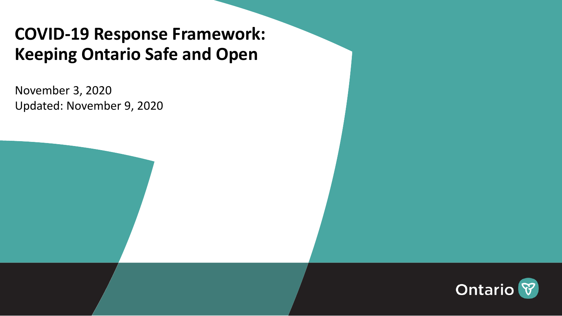# **COVID-19 Response Framework: Keeping Ontario Safe and Open**

November 3, 2020 Updated: November 9, 2020

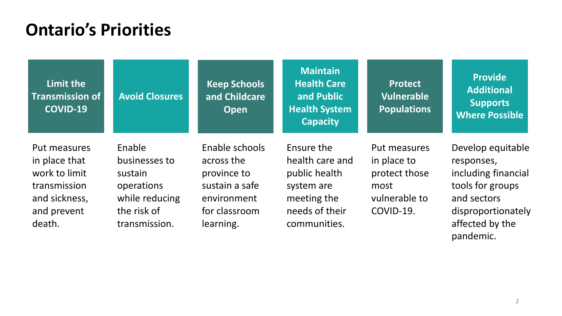## **Ontario's Priorities**

| Limit the<br><b>Transmission of</b><br><b>COVID-19</b>                                                   | <b>Avoid Closures</b>                                                                              | <b>Keep Schools</b><br>and Childcare<br><b>Open</b>                                                        | <b>Maintain</b><br><b>Health Care</b><br>and Public<br><b>Health System</b><br><b>Capacity</b>                | <b>Protect</b><br>Vulnerable<br><b>Populations</b>                                 | <b>Provide</b><br><b>Additional</b><br><b>Supports</b><br><b>Where Possible</b>                                                                 |
|----------------------------------------------------------------------------------------------------------|----------------------------------------------------------------------------------------------------|------------------------------------------------------------------------------------------------------------|---------------------------------------------------------------------------------------------------------------|------------------------------------------------------------------------------------|-------------------------------------------------------------------------------------------------------------------------------------------------|
| Put measures<br>in place that<br>work to limit<br>transmission<br>and sickness,<br>and prevent<br>death. | Enable<br>businesses to<br>sustain<br>operations<br>while reducing<br>the risk of<br>transmission. | Enable schools<br>across the<br>province to<br>sustain a safe<br>environment<br>for classroom<br>learning. | Ensure the<br>health care and<br>public health<br>system are<br>meeting the<br>needs of their<br>communities. | Put measures<br>in place to<br>protect those<br>most<br>vulnerable to<br>COVID-19. | Develop equitable<br>responses,<br>including financial<br>tools for groups<br>and sectors<br>disproportionately<br>affected by the<br>pandemic. |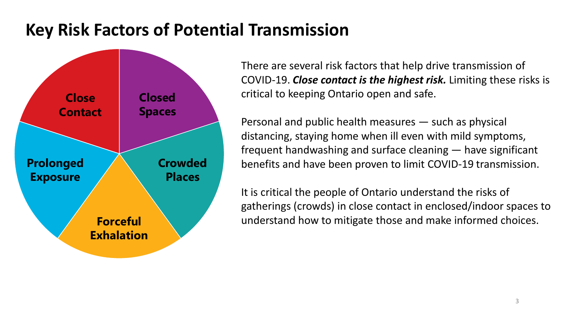## **Key Risk Factors of Potential Transmission**



There are several risk factors that help drive transmission of COVID-19. *Close contact is the highest risk.* Limiting these risks is critical to keeping Ontario open and safe.

Personal and public health measures — such as physical distancing, staying home when ill even with mild symptoms, frequent handwashing and surface cleaning — have significant benefits and have been proven to limit COVID-19 transmission.

It is critical the people of Ontario understand the risks of gatherings (crowds) in close contact in enclosed/indoor spaces to understand how to mitigate those and make informed choices.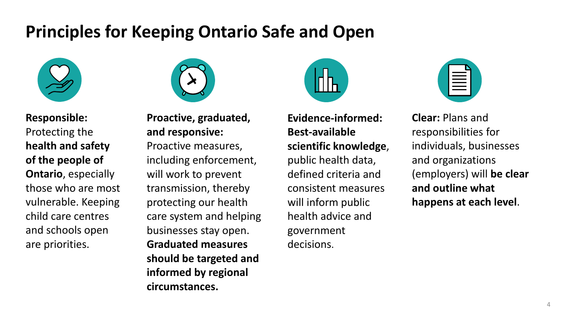## **Principles for Keeping Ontario Safe and Open**



**Responsible:**  Protecting the **health and safety of the people of Ontario**, especially those who are most vulnerable. Keeping child care centres and schools open are priorities.



**Proactive, graduated, and responsive:**  Proactive measures, including enforcement, will work to prevent transmission, thereby protecting our health care system and helping businesses stay open. **Graduated measures should be targeted and informed by regional circumstances.** 



**Evidence-informed: Best-available scientific knowledge**, public health data, defined criteria and consistent measures will inform public health advice and government decisions.

**Clear:** Plans and responsibilities for individuals, businesses and organizations (employers) will **be clear and outline what happens at each level**.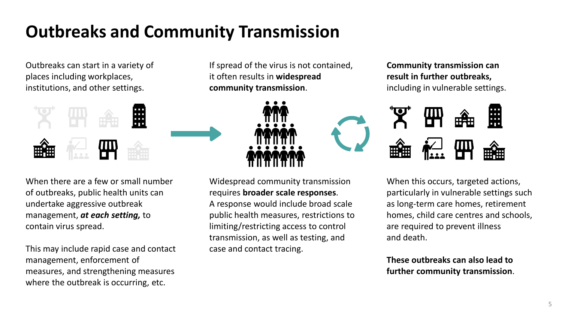# **Outbreaks and Community Transmission**

Outbreaks can start in a variety of places including workplaces, institutions, and other settings.



If spread of the virus is not contained, it often results in **widespread community transmission**.



When there are a few or small number of outbreaks, public health units can undertake aggressive outbreak management, *at each setting,* to contain virus spread.

This may include rapid case and contact management, enforcement of measures, and strengthening measures where the outbreak is occurring, etc.

Widespread community transmission requires **broader scale responses**.

A response would include broad scale public health measures, restrictions to limiting/restricting access to control transmission, as well as testing, and case and contact tracing.

### **Community transmission can result in further outbreaks,**  including in vulnerable settings.



When this occurs, targeted actions, particularly in vulnerable settings such as long-term care homes, retirement homes, child care centres and schools, are required to prevent illness and death.

**These outbreaks can also lead to further community transmission**.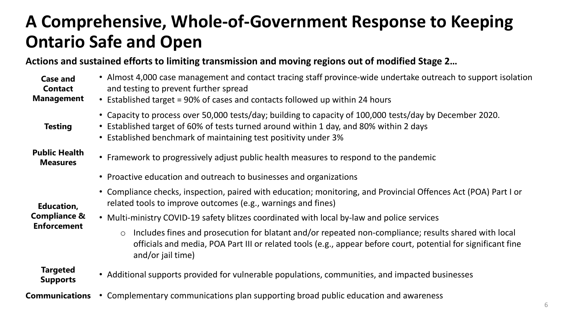# **A Comprehensive, Whole-of-Government Response to Keeping Ontario Safe and Open**

### **Actions and sustained efforts to limiting transmission and moving regions out of modified Stage 2…**

| <b>Case and</b><br><b>Contact</b><br><b>Management</b> | • Almost 4,000 case management and contact tracing staff province-wide undertake outreach to support isolation<br>and testing to prevent further spread<br>• Established target = 90% of cases and contacts followed up within 24 hours                               |
|--------------------------------------------------------|-----------------------------------------------------------------------------------------------------------------------------------------------------------------------------------------------------------------------------------------------------------------------|
| <b>Testing</b>                                         | • Capacity to process over 50,000 tests/day; building to capacity of 100,000 tests/day by December 2020.<br>• Established target of 60% of tests turned around within 1 day, and 80% within 2 days<br>• Established benchmark of maintaining test positivity under 3% |
| <b>Public Health</b><br><b>Measures</b>                | • Framework to progressively adjust public health measures to respond to the pandemic                                                                                                                                                                                 |
|                                                        | • Proactive education and outreach to businesses and organizations                                                                                                                                                                                                    |
| <b>Education,</b>                                      | • Compliance checks, inspection, paired with education; monitoring, and Provincial Offences Act (POA) Part I or<br>related tools to improve outcomes (e.g., warnings and fines)                                                                                       |
| <b>Compliance &amp;</b><br><b>Enforcement</b>          | • Multi-ministry COVID-19 safety blitzes coordinated with local by-law and police services                                                                                                                                                                            |
|                                                        | Includes fines and prosecution for blatant and/or repeated non-compliance; results shared with local<br>$\bigcirc$<br>officials and media, POA Part III or related tools (e.g., appear before court, potential for significant fine<br>and/or jail time)              |
| Tarantod                                               |                                                                                                                                                                                                                                                                       |

- **Targeted Supports** • Additional supports provided for vulnerable populations, communities, and impacted businesses
- **Communications** Complementary communications plan supporting broad public education and awareness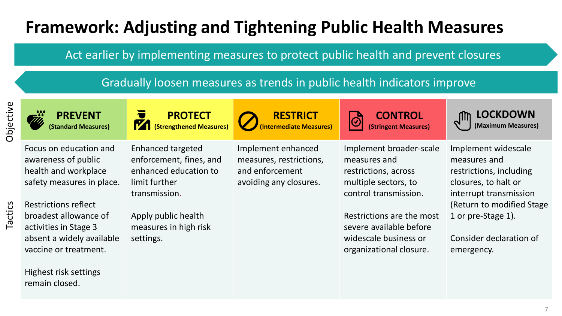# **Framework: Adjusting and Tightening Public Health Measures**

Act earlier by implementing measures to protect public health and prevent closures

Gradually loosen measures as trends in public health indicators improve

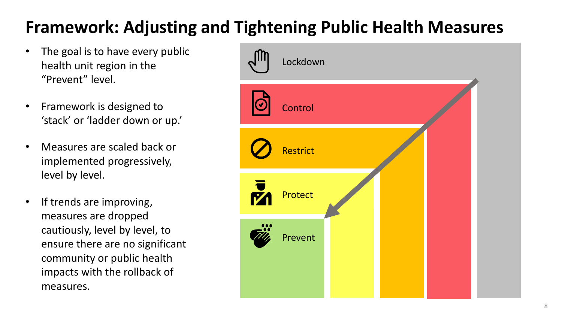# **Framework: Adjusting and Tightening Public Health Measures**

- The goal is to have every public health unit region in the "Prevent" level.
- Framework is designed to 'stack' or 'ladder down or up.'
- Measures are scaled back or implemented progressively, level by level.
- If trends are improving, measures are dropped cautiously, level by level, to ensure there are no significant community or public health impacts with the rollback of measures.

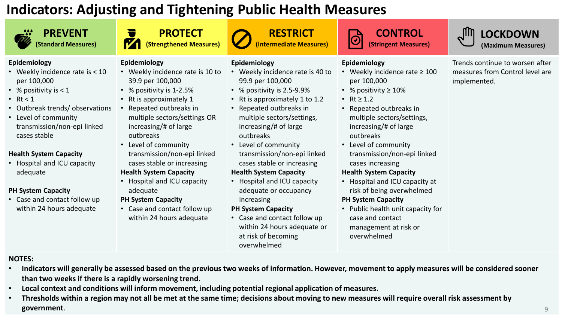### **Indicators: Adjusting and Tightening Public Health Measures**



**PREVENT (Standard Measures)**





**RESTRICT (Intermediate Measures)**

### **CONTROL (Stringent Measures)**

**LOCKDOWN (Maximum Measures)**

#### Trends continue to worsen after measures from Control level are implemented.

- **Epidemiology**
- Weekly incidence rate is < 10 per 100,000
- % positivity is < 1
- Rt <  $1$
- Outbreak trends/ observations
- Level of community transmission/non-epi linked cases stable

#### **Health System Capacity**

• Hospital and ICU capacity adequate

#### **PH System Capacity**

• Case and contact follow up within 24 hours adequate

### **Epidemiology**

- Weekly incidence rate is 10 to 39.9 per 100,000
- % positivity is 1-2.5%
- Rt is approximately 1
- Repeated outbreaks in multiple sectors/settings OR increasing/# of large outbreaks
- Level of community transmission/non-epi linked cases stable or increasing **Health System Capacity**
- Hospital and ICU capacity adequate

#### **PH System Capacity**

• Case and contact follow up within 24 hours adequate

- **Epidemiology**
- Weekly incidence rate is 40 to 99.9 per 100,000
- % positivity is 2.5-9.9%
- Rt is approximately 1 to 1.2
- Repeated outbreaks in multiple sectors/settings, increasing/# of large outbreaks
- Level of community transmission/non-epi linked cases stable or increasing **Health System Capacity**
- Hospital and ICU capacity adequate or occupancy increasing

#### **PH System Capacity**

• Case and contact follow up within 24 hours adequate or at risk of becoming overwhelmed

#### **Epidemiology**

- Weekly incidence rate ≥ 100 per 100,000
- % positivity ≥ 10%
- Rt  $\ge 1.2$

 $\bigcirc$ 

- Repeated outbreaks in multiple sectors/settings, increasing/# of large outbreaks
- Level of community transmission/non-epi linked cases increasing

#### **Health System Capacity**

• Hospital and ICU capacity at risk of being overwhelmed

#### **PH System Capacity**

• Public health unit capacity for case and contact management at risk or overwhelmed

- **NOTES:**
- **Indicators will generally be assessed based on the previous two weeks of information. However, movement to apply measures will be considered sooner than two weeks if there is a rapidly worsening trend.**
- **Local context and conditions will inform movement, including potential regional application of measures.**
- **Thresholds within a region may not all be met at the same time; decisions about moving to new measures will require overall risk assessment by government**. 9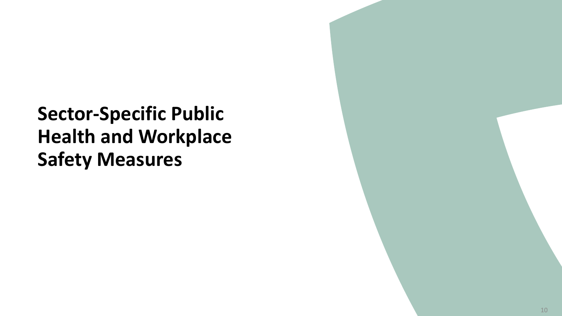**Sector-Specific Public Health and Workplace Safety Measures**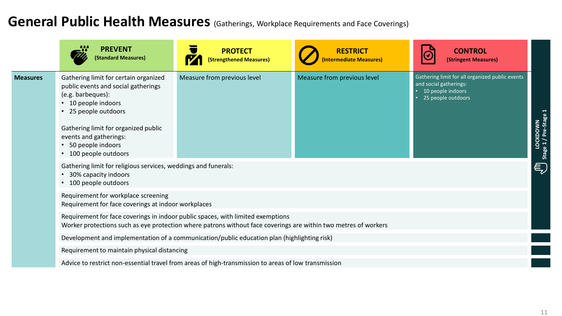## General Public Health Measures (Gatherings, Workplace Requirements and Face Coverings)

|                                                                                                               | <b>PREVENT</b><br>(Standard Measures)                                                                                                                                                                                                                          | <b>PROTECT</b><br>(Strengthened Measures)                                                            | <b>RESTRICT</b><br><b>Intermediate Measures)</b> | <b>CONTROL</b><br>(Stringent Measures)                                                                               |                                                     |  |
|---------------------------------------------------------------------------------------------------------------|----------------------------------------------------------------------------------------------------------------------------------------------------------------------------------------------------------------------------------------------------------------|------------------------------------------------------------------------------------------------------|--------------------------------------------------|----------------------------------------------------------------------------------------------------------------------|-----------------------------------------------------|--|
| <b>Measures</b>                                                                                               | Gathering limit for certain organized<br>public events and social gatherings<br>(e.g. barbeques):<br>10 people indoors<br>• 25 people outdoors<br>Gathering limit for organized public<br>events and gatherings:<br>50 people indoors<br>• 100 people outdoors | Measure from previous level                                                                          | Measure from previous level                      | Gathering limit for all organized public events<br>and social gatherings:<br>10 people indoors<br>25 people outdoors | LOCKDOWN<br>  Stage 1 / Pre-Stag                    |  |
| Gathering limit for religious services, weddings and funerals:<br>30% capacity indoors<br>100 people outdoors |                                                                                                                                                                                                                                                                |                                                                                                      |                                                  |                                                                                                                      | $\left( \begin{matrix} 1 \\ 2 \end{matrix} \right)$ |  |
|                                                                                                               | Requirement for workplace screening<br>Requirement for face coverings at indoor workplaces                                                                                                                                                                     |                                                                                                      |                                                  |                                                                                                                      |                                                     |  |
|                                                                                                               | Requirement for face coverings in indoor public spaces, with limited exemptions<br>Worker protections such as eye protection where patrons without face coverings are within two metres of workers                                                             |                                                                                                      |                                                  |                                                                                                                      |                                                     |  |
| Development and implementation of a communication/public education plan (highlighting risk)                   |                                                                                                                                                                                                                                                                |                                                                                                      |                                                  |                                                                                                                      |                                                     |  |
|                                                                                                               | Requirement to maintain physical distancing                                                                                                                                                                                                                    |                                                                                                      |                                                  |                                                                                                                      |                                                     |  |
|                                                                                                               |                                                                                                                                                                                                                                                                | Advice to restrict non-essential travel from areas of high-transmission to areas of low transmission |                                                  |                                                                                                                      |                                                     |  |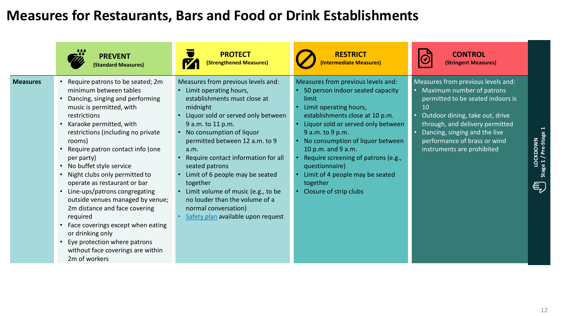### **Measures for Restaurants, Bars and Food or Drink Establishments**

| <b>PREVENT</b>                                                                                                                                                                                                                                                                                                                                                                                                                                                                                                                                                                                                                                                                                | <b>PROTECT</b>                                                                                                                                                                                                                                                                                                                                                                                                                                                                          | <b>RESTRICT</b>                                                                                                                                                                                                                                                                                                                                                                                    | <b>CONTROL</b>                                                                                                                                                                                                                                                                               |                                        |
|-----------------------------------------------------------------------------------------------------------------------------------------------------------------------------------------------------------------------------------------------------------------------------------------------------------------------------------------------------------------------------------------------------------------------------------------------------------------------------------------------------------------------------------------------------------------------------------------------------------------------------------------------------------------------------------------------|-----------------------------------------------------------------------------------------------------------------------------------------------------------------------------------------------------------------------------------------------------------------------------------------------------------------------------------------------------------------------------------------------------------------------------------------------------------------------------------------|----------------------------------------------------------------------------------------------------------------------------------------------------------------------------------------------------------------------------------------------------------------------------------------------------------------------------------------------------------------------------------------------------|----------------------------------------------------------------------------------------------------------------------------------------------------------------------------------------------------------------------------------------------------------------------------------------------|----------------------------------------|
| (Standard Measures)                                                                                                                                                                                                                                                                                                                                                                                                                                                                                                                                                                                                                                                                           | (Strengthened Measures)                                                                                                                                                                                                                                                                                                                                                                                                                                                                 | <b>Intermediate Measures)</b>                                                                                                                                                                                                                                                                                                                                                                      | (Stringent Measures)                                                                                                                                                                                                                                                                         |                                        |
| Require patrons to be seated; 2m<br><b>Measures</b><br>minimum between tables<br>Dancing, singing and performing<br>music is permitted, with<br>restrictions<br>Karaoke permitted, with<br>restrictions (including no private<br>rooms)<br>Require patron contact info (one<br>per party)<br>No buffet style service<br>$\bullet$<br>Night clubs only permitted to<br>operate as restaurant or bar<br>Line-ups/patrons congregating<br>$\bullet$<br>outside venues managed by venue;<br>2m distance and face covering<br>required<br>Face coverings except when eating<br>or drinking only<br>Eye protection where patrons<br>$\bullet$<br>without face coverings are within<br>2m of workers | Measures from previous levels and:<br>Limit operating hours,<br>establishments must close at<br>midnight<br>Liquor sold or served only between<br>9 a.m. to 11 p.m.<br>No consumption of liquor<br>permitted between 12 a.m. to 9<br>a.m.<br>Require contact information for all<br>seated patrons<br>Limit of 6 people may be seated<br>together<br>Limit volume of music (e.g., to be<br>no louder than the volume of a<br>normal conversation)<br>Safety plan available upon request | Measures from previous levels and:<br>50 person indoor seated capacity<br>limit<br>Limit operating hours,<br>establishments close at 10 p.m.<br>Liquor sold or served only between<br>9 a.m. to 9 p.m.<br>No consumption of liquor between<br>10 p.m. and 9 a.m.<br>Require screening of patrons (e.g.,<br>questionnaire)<br>Limit of 4 people may be seated<br>together<br>Closure of strip clubs | Measures from previous levels and:<br>Maximum number of patrons<br>$\bullet$<br>permitted to be seated indoors is<br>10<br>Outdoor dining, take out, drive<br>through, and delivery permitted<br>Dancing, singing and the live<br>performance of brass or wind<br>instruments are prohibited | LOCKDOWN<br>Stage 1 / Pre-Stage 1<br>与 |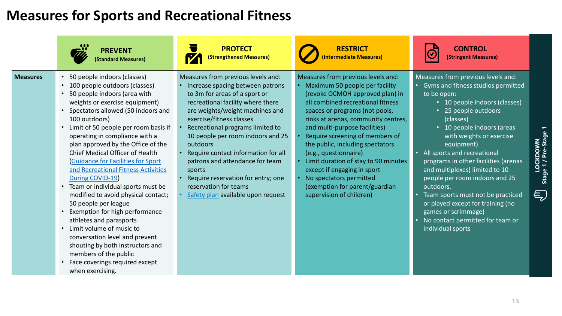### **Measures for Sports and Recreational Fitness**

|                 | <b>PREVENT</b><br><b>(Standard Measures)</b>                                                                                                                                                                                                                                                                                                                                                                                                                                                                                                                                                                                                                                                                                                                                                                        | <b>PROTECT</b><br>(Strengthened Measures)                                                                                                                                                                                                                                                                                                                                                                                                                                                 | <b>RESTRICT</b><br>(Intermediate Measures)                                                                                                                                                                                                                                                                                                                                                                                                                                                                             | <b>CONTROL</b><br>(Stringent Measures)                                                                                                                                                                                                                                                                                                                                                                                                                                                                                                                    |                                       |
|-----------------|---------------------------------------------------------------------------------------------------------------------------------------------------------------------------------------------------------------------------------------------------------------------------------------------------------------------------------------------------------------------------------------------------------------------------------------------------------------------------------------------------------------------------------------------------------------------------------------------------------------------------------------------------------------------------------------------------------------------------------------------------------------------------------------------------------------------|-------------------------------------------------------------------------------------------------------------------------------------------------------------------------------------------------------------------------------------------------------------------------------------------------------------------------------------------------------------------------------------------------------------------------------------------------------------------------------------------|------------------------------------------------------------------------------------------------------------------------------------------------------------------------------------------------------------------------------------------------------------------------------------------------------------------------------------------------------------------------------------------------------------------------------------------------------------------------------------------------------------------------|-----------------------------------------------------------------------------------------------------------------------------------------------------------------------------------------------------------------------------------------------------------------------------------------------------------------------------------------------------------------------------------------------------------------------------------------------------------------------------------------------------------------------------------------------------------|---------------------------------------|
| <b>Measures</b> | • 50 people indoors (classes)<br>• 100 people outdoors (classes)<br>• 50 people indoors (area with<br>weights or exercise equipment)<br>• Spectators allowed (50 indoors and<br>100 outdoors)<br>• Limit of 50 people per room basis if<br>operating in compliance with a<br>plan approved by the Office of the<br>Chief Medical Officer of Health<br><b>Guidance for Facilities for Sport</b><br>and Recreational Fitness Activities<br>During COVID-19)<br>• Team or individual sports must be<br>modified to avoid physical contact;<br>50 people per league<br>• Exemption for high performance<br>athletes and parasports<br>• Limit volume of music to<br>conversation level and prevent<br>shouting by both instructors and<br>members of the public<br>• Face coverings required except<br>when exercising. | Measures from previous levels and:<br>Increase spacing between patrons<br>to 3m for areas of a sport or<br>recreational facility where there<br>are weights/weight machines and<br>exercise/fitness classes<br>Recreational programs limited to<br>10 people per room indoors and 25<br>outdoors<br>Require contact information for all<br>patrons and attendance for team<br>sports<br>Require reservation for entry; one<br>reservation for teams<br>Safety plan available upon request | Measures from previous levels and:<br>Maximum 50 people per facility<br>(revoke OCMOH approved plan) in<br>all combined recreational fitness<br>spaces or programs (not pools,<br>rinks at arenas, community centres,<br>and multi-purpose facilities)<br>Require screening of members of<br>the public, including spectators<br>(e.g., questionnaire)<br>Limit duration of stay to 90 minutes<br>except if engaging in sport<br>No spectators permitted<br>(exemption for parent/guardian<br>supervision of children) | Measures from previous levels and:<br>• Gyms and fitness studios permitted<br>to be open:<br>• 10 people indoors (classes)<br>• 25 people outdoors<br>(classes)<br>• 10 people indoors (areas<br>with weights or exercise<br>equipment)<br>All sports and recreational<br>programs in other facilities (arenas<br>and multiplexes) limited to 10<br>people per room indoors and 25<br>outdoors.<br>Team sports must not be practiced<br>or played except for training (no<br>games or scrimmage)<br>No contact permitted for team or<br>individual sports | LOCKDOWN<br>Stage 1 / Pre-Stage<br>€) |
|                 |                                                                                                                                                                                                                                                                                                                                                                                                                                                                                                                                                                                                                                                                                                                                                                                                                     |                                                                                                                                                                                                                                                                                                                                                                                                                                                                                           |                                                                                                                                                                                                                                                                                                                                                                                                                                                                                                                        |                                                                                                                                                                                                                                                                                                                                                                                                                                                                                                                                                           |                                       |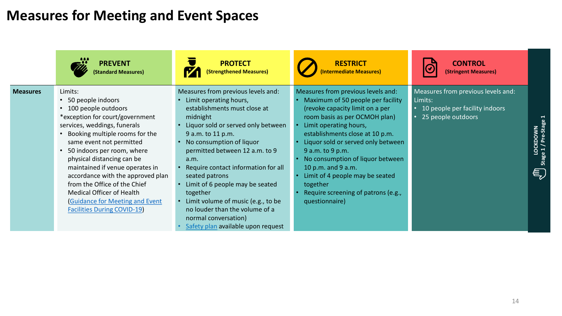## **Measures for Meeting and Event Spaces**

|                 | <b>PREVENT</b><br>(Standard Measures)                                                                                                                                                                                                                                                                                                                                                                                                                                             | <b>PROTECT</b><br>(Strengthened Measures)                                                                                                                                                                                                                                                                                                                                                                                                                                               | <b>RESTRICT</b><br>(Intermediate Measures)                                                                                                                                                                                                                                                                                                                                                                                           | <b>CONTROL</b><br>(Stringent Measures)                                                                |                                      |
|-----------------|-----------------------------------------------------------------------------------------------------------------------------------------------------------------------------------------------------------------------------------------------------------------------------------------------------------------------------------------------------------------------------------------------------------------------------------------------------------------------------------|-----------------------------------------------------------------------------------------------------------------------------------------------------------------------------------------------------------------------------------------------------------------------------------------------------------------------------------------------------------------------------------------------------------------------------------------------------------------------------------------|--------------------------------------------------------------------------------------------------------------------------------------------------------------------------------------------------------------------------------------------------------------------------------------------------------------------------------------------------------------------------------------------------------------------------------------|-------------------------------------------------------------------------------------------------------|--------------------------------------|
| <b>Measures</b> | Limits:<br>50 people indoors<br>$\bullet$<br>100 people outdoors<br>*exception for court/government<br>services, weddings, funerals<br>Booking multiple rooms for the<br>same event not permitted<br>50 indoors per room, where<br>physical distancing can be<br>maintained if venue operates in<br>accordance with the approved plan<br>from the Office of the Chief<br>Medical Officer of Health<br><b>Guidance for Meeting and Event</b><br><b>Facilities During COVID-19)</b> | Measures from previous levels and:<br>Limit operating hours,<br>establishments must close at<br>midnight<br>Liquor sold or served only between<br>9 a.m. to 11 p.m.<br>No consumption of liquor<br>permitted between 12 a.m. to 9<br>a.m.<br>Require contact information for all<br>seated patrons<br>Limit of 6 people may be seated<br>together<br>Limit volume of music (e.g., to be<br>no louder than the volume of a<br>normal conversation)<br>Safety plan available upon request | Measures from previous levels and:<br>Maximum of 50 people per facility<br>(revoke capacity limit on a per<br>room basis as per OCMOH plan)<br>Limit operating hours,<br>establishments close at 10 p.m.<br>Liquor sold or served only between<br>9 a.m. to 9 p.m.<br>No consumption of liquor between<br>10 p.m. and 9 a.m.<br>Limit of 4 people may be seated<br>together<br>Require screening of patrons (e.g.,<br>questionnaire) | Measures from previous levels and:<br>Limits:<br>10 people per facility indoors<br>25 people outdoors | LOCKDOWN<br>Stage 1 / Pre-Stage<br>与 |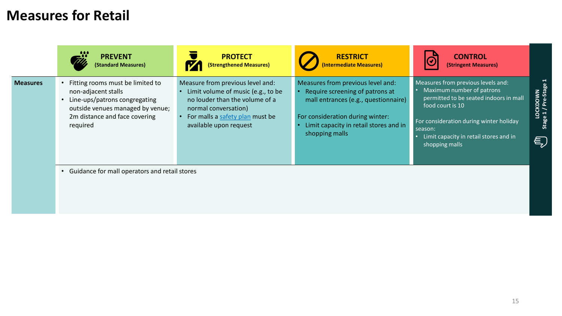## **Measures for Retail**

|                 | <b>PREVENT</b><br>(Standard Measures)                                                                                                                                     | <b>PROTECT</b><br>(Strengthened Measures)                                                                                                                                                     | <b>RESTRICT</b><br>(Intermediate Measures)                                                                                                                                                                   | <b>CONTROL</b><br>$\bar{G}$<br>(Stringent Measures)                                                                                                                                                                                             |                                     |
|-----------------|---------------------------------------------------------------------------------------------------------------------------------------------------------------------------|-----------------------------------------------------------------------------------------------------------------------------------------------------------------------------------------------|--------------------------------------------------------------------------------------------------------------------------------------------------------------------------------------------------------------|-------------------------------------------------------------------------------------------------------------------------------------------------------------------------------------------------------------------------------------------------|-------------------------------------|
| <b>Measures</b> | Fitting rooms must be limited to<br>non-adjacent stalls<br>Line-ups/patrons congregating<br>outside venues managed by venue;<br>2m distance and face covering<br>required | Measure from previous level and:<br>Limit volume of music (e.g., to be<br>no louder than the volume of a<br>normal conversation)<br>For malls a safety plan must be<br>available upon request | Measures from previous level and:<br>Require screening of patrons at<br>mall entrances (e.g., questionnaire)<br>For consideration during winter:<br>Limit capacity in retail stores and in<br>shopping malls | Measures from previous levels and:<br>Maximum number of patrons<br>permitted to be seated indoors in mall<br>food court is 10<br>For consideration during winter holiday<br>season:<br>Limit capacity in retail stores and in<br>shopping malls | LOCKDOWN<br>Stage 1 / Pre-Stag<br>€ |
|                 | Guidance for mall operators and retail stores                                                                                                                             |                                                                                                                                                                                               |                                                                                                                                                                                                              |                                                                                                                                                                                                                                                 |                                     |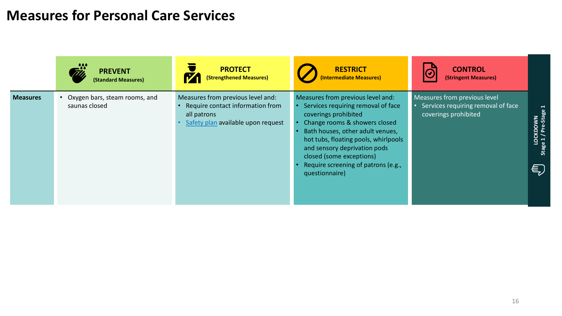### **Measures for Personal Care Services**

|                 | <b>PREVENT</b><br>(Standard Measures)          | <b>PROTECT</b><br>(Strengthened Measures)                                                                                  | <b>RESTRICT</b><br>(Intermediate Measures)                                                                                                                                                                                                                                                                                        | <b>CONTROL</b><br>$\overline{G}$<br>(Stringent Measures)                                   |                                                        |
|-----------------|------------------------------------------------|----------------------------------------------------------------------------------------------------------------------------|-----------------------------------------------------------------------------------------------------------------------------------------------------------------------------------------------------------------------------------------------------------------------------------------------------------------------------------|--------------------------------------------------------------------------------------------|--------------------------------------------------------|
| <b>Measures</b> | Oxygen bars, steam rooms, and<br>saunas closed | Measures from previous level and:<br>Require contact information from<br>all patrons<br>Safety plan available upon request | Measures from previous level and:<br>Services requiring removal of face<br>coverings prohibited<br>Change rooms & showers closed<br>Bath houses, other adult venues,<br>hot tubs, floating pools, whirlpools<br>and sensory deprivation pods<br>closed (some exceptions)<br>Require screening of patrons (e.g.,<br>questionnaire) | Measures from previous level<br>Services requiring removal of face<br>coverings prohibited | ⊣<br>ஃ<br>LOCKDOWN<br>Stage 1 / Pre-Stag<br>$\epsilon$ |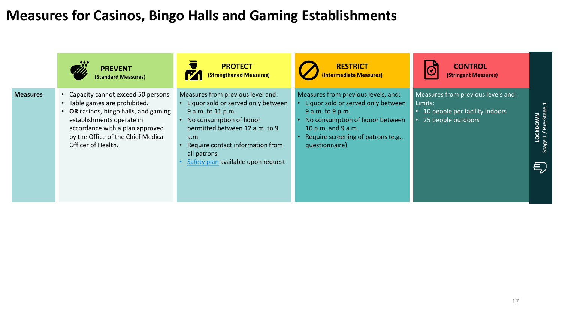### **Measures for Casinos, Bingo Halls and Gaming Establishments**

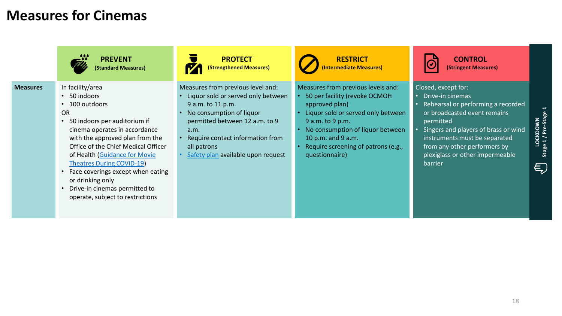## **Measures for Cinemas**

|                 | <b>PREVENT</b><br><b>(Standard Measures)</b>                                                                                                                                                                                                                                                                                                                                                                           | <b>PROTECT</b><br><b>(Strengthened Measures)</b>                                                                                                                                                                                                            | <b>RESTRICT</b><br>(Intermediate Measures)                                                                                                                                                                                                                         | <b>CONTROL</b><br>(Stringent Measures)                                                                                                                                                                                                                                            |                              |
|-----------------|------------------------------------------------------------------------------------------------------------------------------------------------------------------------------------------------------------------------------------------------------------------------------------------------------------------------------------------------------------------------------------------------------------------------|-------------------------------------------------------------------------------------------------------------------------------------------------------------------------------------------------------------------------------------------------------------|--------------------------------------------------------------------------------------------------------------------------------------------------------------------------------------------------------------------------------------------------------------------|-----------------------------------------------------------------------------------------------------------------------------------------------------------------------------------------------------------------------------------------------------------------------------------|------------------------------|
| <b>Measures</b> | In facility/area<br>50 indoors<br>$\bullet$<br>100 outdoors<br><b>OR</b><br>50 indoors per auditorium if<br>cinema operates in accordance<br>with the approved plan from the<br>Office of the Chief Medical Officer<br>of Health (Guidance for Movie<br><b>Theatres During COVID-19)</b><br>Face coverings except when eating<br>or drinking only<br>Drive-in cinemas permitted to<br>operate, subject to restrictions | Measures from previous level and:<br>Liquor sold or served only between<br>9 a.m. to 11 p.m.<br>No consumption of liquor<br>permitted between 12 a.m. to 9<br>a.m.<br>Require contact information from<br>all patrons<br>Safety plan available upon request | Measures from previous levels and:<br>50 per facility (revoke OCMOH<br>approved plan)<br>Liquor sold or served only between<br>9 a.m. to 9 p.m.<br>No consumption of liquor between<br>10 p.m. and 9 a.m.<br>Require screening of patrons (e.g.,<br>questionnaire) | Closed, except for:<br>Drive-in cinemas<br>Rehearsal or performing a recorded<br>or broadcasted event remains<br>permitted<br>Singers and players of brass or wind<br>instruments must be separated<br>from any other performers by<br>plexiglass or other impermeable<br>barrier | LOCKDOWN<br>e1/Pre-Stag<br>€ |